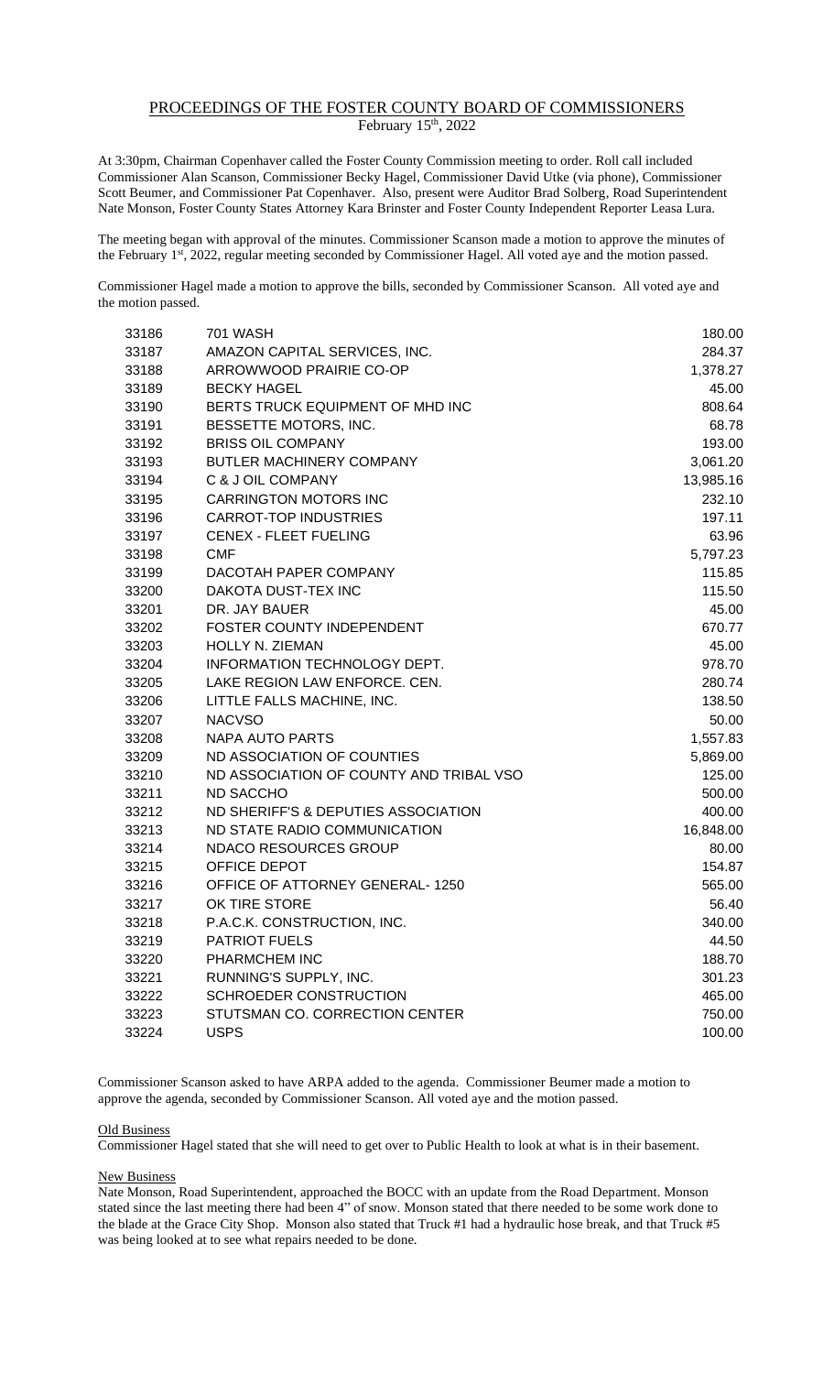## PROCEEDINGS OF THE FOSTER COUNTY BOARD OF COMMISSIONERS February 15<sup>th</sup>, 2022

At 3:30pm, Chairman Copenhaver called the Foster County Commission meeting to order. Roll call included Commissioner Alan Scanson, Commissioner Becky Hagel, Commissioner David Utke (via phone), Commissioner Scott Beumer, and Commissioner Pat Copenhaver. Also, present were Auditor Brad Solberg, Road Superintendent Nate Monson, Foster County States Attorney Kara Brinster and Foster County Independent Reporter Leasa Lura.

The meeting began with approval of the minutes. Commissioner Scanson made a motion to approve the minutes of the February 1<sup>st</sup>, 2022, regular meeting seconded by Commissioner Hagel. All voted aye and the motion passed.

Commissioner Hagel made a motion to approve the bills, seconded by Commissioner Scanson. All voted aye and the motion passed.

| 33186 | 701 WASH                                | 180.00    |
|-------|-----------------------------------------|-----------|
| 33187 | AMAZON CAPITAL SERVICES, INC.           | 284.37    |
| 33188 | ARROWWOOD PRAIRIE CO-OP                 | 1,378.27  |
| 33189 | <b>BECKY HAGEL</b>                      | 45.00     |
| 33190 | BERTS TRUCK EQUIPMENT OF MHD INC        | 808.64    |
| 33191 | BESSETTE MOTORS, INC.                   | 68.78     |
| 33192 | <b>BRISS OIL COMPANY</b>                | 193.00    |
| 33193 | BUTLER MACHINERY COMPANY                | 3,061.20  |
| 33194 | C & J OIL COMPANY                       | 13,985.16 |
| 33195 | <b>CARRINGTON MOTORS INC</b>            | 232.10    |
| 33196 | <b>CARROT-TOP INDUSTRIES</b>            | 197.11    |
| 33197 | <b>CENEX - FLEET FUELING</b>            | 63.96     |
| 33198 | <b>CMF</b>                              | 5,797.23  |
| 33199 | DACOTAH PAPER COMPANY                   | 115.85    |
| 33200 | DAKOTA DUST-TEX INC                     | 115.50    |
| 33201 | DR. JAY BAUER                           | 45.00     |
| 33202 | FOSTER COUNTY INDEPENDENT               | 670.77    |
| 33203 | HOLLY N. ZIEMAN                         | 45.00     |
| 33204 | INFORMATION TECHNOLOGY DEPT.            | 978.70    |
| 33205 | LAKE REGION LAW ENFORCE. CEN.           | 280.74    |
| 33206 | LITTLE FALLS MACHINE, INC.              | 138.50    |
| 33207 | <b>NACVSO</b>                           | 50.00     |
| 33208 | <b>NAPA AUTO PARTS</b>                  | 1,557.83  |
| 33209 | ND ASSOCIATION OF COUNTIES              | 5,869.00  |
| 33210 | ND ASSOCIATION OF COUNTY AND TRIBAL VSO | 125.00    |
| 33211 | <b>ND SACCHO</b>                        | 500.00    |
| 33212 | ND SHERIFF'S & DEPUTIES ASSOCIATION     | 400.00    |
| 33213 | ND STATE RADIO COMMUNICATION            | 16,848.00 |
| 33214 | NDACO RESOURCES GROUP                   | 80.00     |
| 33215 | OFFICE DEPOT                            | 154.87    |
| 33216 | OFFICE OF ATTORNEY GENERAL-1250         | 565.00    |
| 33217 | OK TIRE STORE                           | 56.40     |
| 33218 | P.A.C.K. CONSTRUCTION, INC.             | 340.00    |
| 33219 | <b>PATRIOT FUELS</b>                    | 44.50     |
| 33220 | PHARMCHEM INC                           | 188.70    |
| 33221 | RUNNING'S SUPPLY, INC.                  | 301.23    |
| 33222 | <b>SCHROEDER CONSTRUCTION</b>           | 465.00    |
| 33223 | STUTSMAN CO. CORRECTION CENTER          | 750.00    |
| 33224 | <b>USPS</b>                             | 100.00    |

Commissioner Scanson asked to have ARPA added to the agenda. Commissioner Beumer made a motion to approve the agenda, seconded by Commissioner Scanson. All voted aye and the motion passed.

## Old Business

Commissioner Hagel stated that she will need to get over to Public Health to look at what is in their basement.

## New Business

Nate Monson, Road Superintendent, approached the BOCC with an update from the Road Department. Monson stated since the last meeting there had been 4" of snow. Monson stated that there needed to be some work done to the blade at the Grace City Shop. Monson also stated that Truck #1 had a hydraulic hose break, and that Truck #5 was being looked at to see what repairs needed to be done.